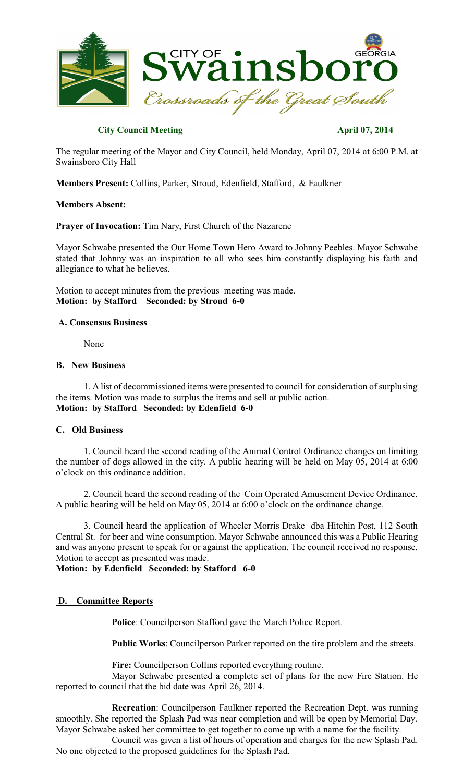

### **City Council Meeting April 07, 2014**

The regular meeting of the Mayor and City Council, held Monday, April 07, 2014 at 6:00 P.M. at Swainsboro City Hall

**Members Present:** Collins, Parker, Stroud, Edenfield, Stafford, & Faulkner

#### **Members Absent:**

**Prayer of Invocation:** Tim Nary, First Church of the Nazarene

Mayor Schwabe presented the Our Home Town Hero Award to Johnny Peebles. Mayor Schwabe stated that Johnny was an inspiration to all who sees him constantly displaying his faith and allegiance to what he believes.

Motion to accept minutes from the previous meeting was made. **Motion: by Stafford Seconded: by Stroud 6-0**

#### **A. Consensus Business**

None

### **B. New Business**

1. A list of decommissioned items were presented to council for consideration of surplusing the items. Motion was made to surplus the items and sell at public action. **Motion: by Stafford Seconded: by Edenfield 6-0**

### **C. Old Business**

1. Council heard the second reading of the Animal Control Ordinance changes on limiting the number of dogs allowed in the city. A public hearing will be held on May 05, 2014 at 6:00 o'clock on this ordinance addition.

2. Council heard the second reading of the Coin Operated Amusement Device Ordinance. A public hearing will be held on May 05, 2014 at 6:00 o'clock on the ordinance change.

3. Council heard the application of Wheeler Morris Drake dba Hitchin Post, 112 South Central St. for beer and wine consumption. Mayor Schwabe announced this was a Public Hearing and was anyone present to speak for or against the application. The council received no response. Motion to accept as presented was made.

## **Motion: by Edenfield Seconded: by Stafford 6-0**

### **D. Committee Reports**

**Police**: Councilperson Stafford gave the March Police Report.

**Public Works**: Councilperson Parker reported on the tire problem and the streets.

**Fire:** Councilperson Collins reported everything routine.

Mayor Schwabe presented a complete set of plans for the new Fire Station. He reported to council that the bid date was April 26, 2014.

**Recreation**: Councilperson Faulkner reported the Recreation Dept. was running smoothly. She reported the Splash Pad was near completion and will be open by Memorial Day. Mayor Schwabe asked her committee to get together to come up with a name for the facility.

Council was given a list of hours of operation and charges for the new Splash Pad. No one objected to the proposed guidelines for the Splash Pad.